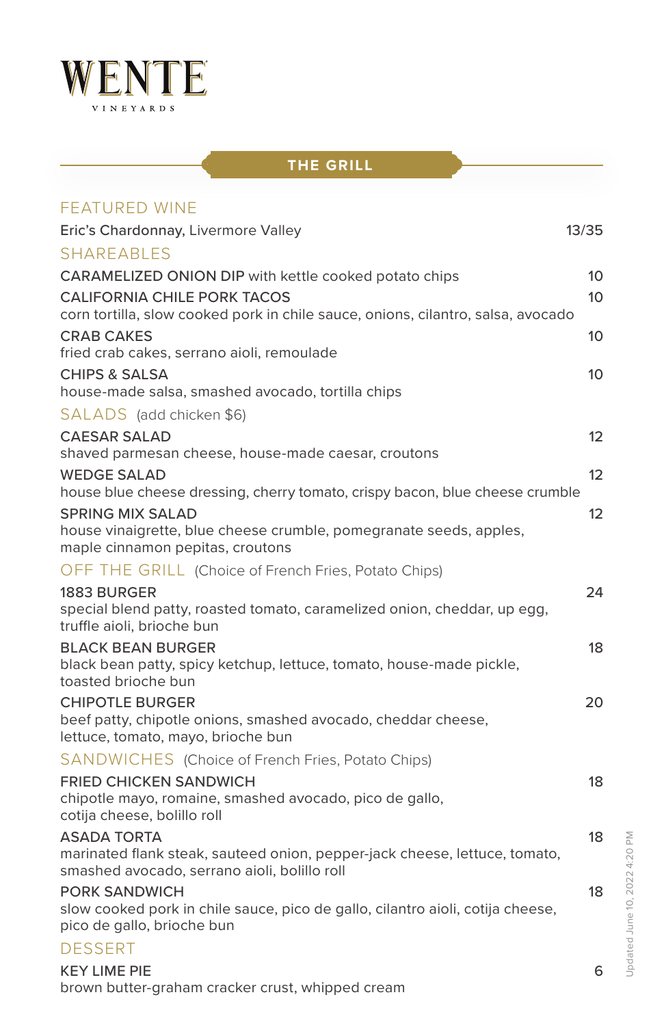

## **THE GRILL**

| <b>FEATURED WINE</b>                                                                                                    |                 |
|-------------------------------------------------------------------------------------------------------------------------|-----------------|
| Eric's Chardonnay, Livermore Valley                                                                                     | 13/35           |
| <b>SHAREABLES</b>                                                                                                       |                 |
| CARAMELIZED ONION DIP with kettle cooked potato chips                                                                   | 10              |
| <b>CALIFORNIA CHILE PORK TACOS</b>                                                                                      | 10              |
| corn tortilla, slow cooked pork in chile sauce, onions, cilantro, salsa, avocado                                        |                 |
| <b>CRAB CAKES</b>                                                                                                       | 10              |
| fried crab cakes, serrano aioli, remoulade<br><b>CHIPS &amp; SALSA</b>                                                  | 10              |
| house-made salsa, smashed avocado, tortilla chips                                                                       |                 |
| SALADS (add chicken \$6)                                                                                                |                 |
| <b>CAESAR SALAD</b>                                                                                                     | 12              |
| shaved parmesan cheese, house-made caesar, croutons                                                                     |                 |
| <b>WEDGE SALAD</b>                                                                                                      | 12              |
| house blue cheese dressing, cherry tomato, crispy bacon, blue cheese crumble                                            |                 |
| <b>SPRING MIX SALAD</b><br>house vinaigrette, blue cheese crumble, pomegranate seeds, apples,                           | 12 <sup>2</sup> |
| maple cinnamon pepitas, croutons                                                                                        |                 |
| OFF THE GRILL (Choice of French Fries, Potato Chips)                                                                    |                 |
| 1883 BURGER                                                                                                             | 24              |
| special blend patty, roasted tomato, caramelized onion, cheddar, up egg,<br>truffle aioli, brioche bun                  |                 |
| <b>BLACK BEAN BURGER</b>                                                                                                | 18              |
| black bean patty, spicy ketchup, lettuce, tomato, house-made pickle,<br>toasted brioche bun                             |                 |
| <b>CHIPOTLE BURGER</b>                                                                                                  | 20              |
| beef patty, chipotle onions, smashed avocado, cheddar cheese,<br>lettuce, tomato, mayo, brioche bun                     |                 |
| SANDWICHES (Choice of French Fries, Potato Chips)                                                                       |                 |
| <b>FRIED CHICKEN SANDWICH</b><br>chipotle mayo, romaine, smashed avocado, pico de gallo,<br>cotija cheese, bolillo roll | 18              |
| <b>ASADA TORTA</b>                                                                                                      | 18              |
| marinated flank steak, sauteed onion, pepper-jack cheese, lettuce, tomato,                                              |                 |
| smashed avocado, serrano aioli, bolillo roll                                                                            |                 |
| <b>PORK SANDWICH</b>                                                                                                    | 18              |
| slow cooked pork in chile sauce, pico de gallo, cilantro aioli, cotija cheese,<br>pico de gallo, brioche bun            |                 |
| <b>DESSERT</b>                                                                                                          |                 |
| <b>KEY LIME PIE</b>                                                                                                     | 6               |
| brown butter-graham cracker crust, whipped cream                                                                        |                 |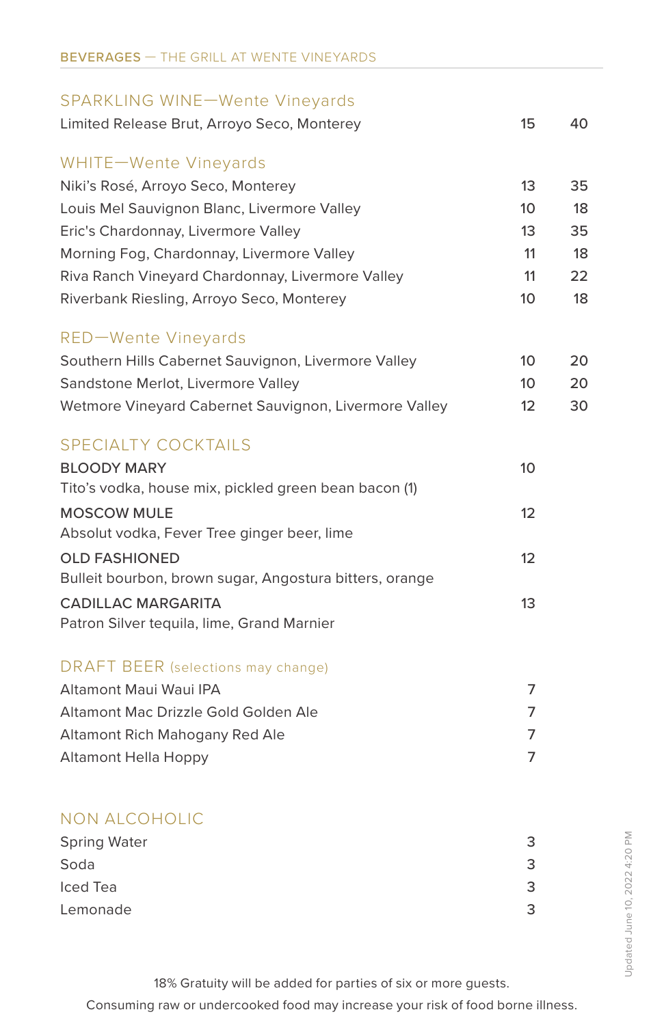# SPARKLING WINE—Wente Vineyards Limited Release Brut, Arroyo Seco, Monterey 15 15 40 WHITE—Wente Vineyards Niki's Rosé, Arroyo Seco, Monterey 13 35 Louis Mel Sauvignon Blanc, Livermore Valley 10 18 Eric's Chardonnay, Livermore Valley 13 35 Morning Fog, Chardonnay, Livermore Valley 11 12 Riva Ranch Vineyard Chardonnay, Livermore Valley 11 22 Riverbank Riesling, Arroyo Seco, Monterey 10 18 RED—Wente Vineyards Southern Hills Cabernet Sauvignon, Livermore Valley 10 20 Sandstone Merlot, Livermore Valley 10 20 Wetmore Vineyard Cabernet Sauvignon, Livermore Valley 12 30 SPECIALTY COCKTAILS BLOODY MARY 10 Tito's vodka, house mix, pickled green bean bacon (1) MOSCOW MULE 12 Absolut vodka, Fever Tree ginger beer, lime OLD FASHIONED 12 Bulleit bourbon, brown sugar, Angostura bitters, orange CADILLAC MARGARITA 13 Patron Silver tequila, lime, Grand Marnier DRAFT BEER (selections may change) Altamont Maui Waui IPA 7 Altamont Mac Drizzle Gold Golden Ale 7 Altamont Rich Mahogany Red Ale **7** and 7 Altamont Hella Hoppy 7 NON ALCOHOLIC Spring Water 3

| <b>Spring Water</b> |  |
|---------------------|--|
| Soda                |  |
| Iced Tea            |  |
| Lemonade            |  |

18% Gratuity will be added for parties of six or more guests.

Consuming raw or undercooked food may increase your risk of food borne illness.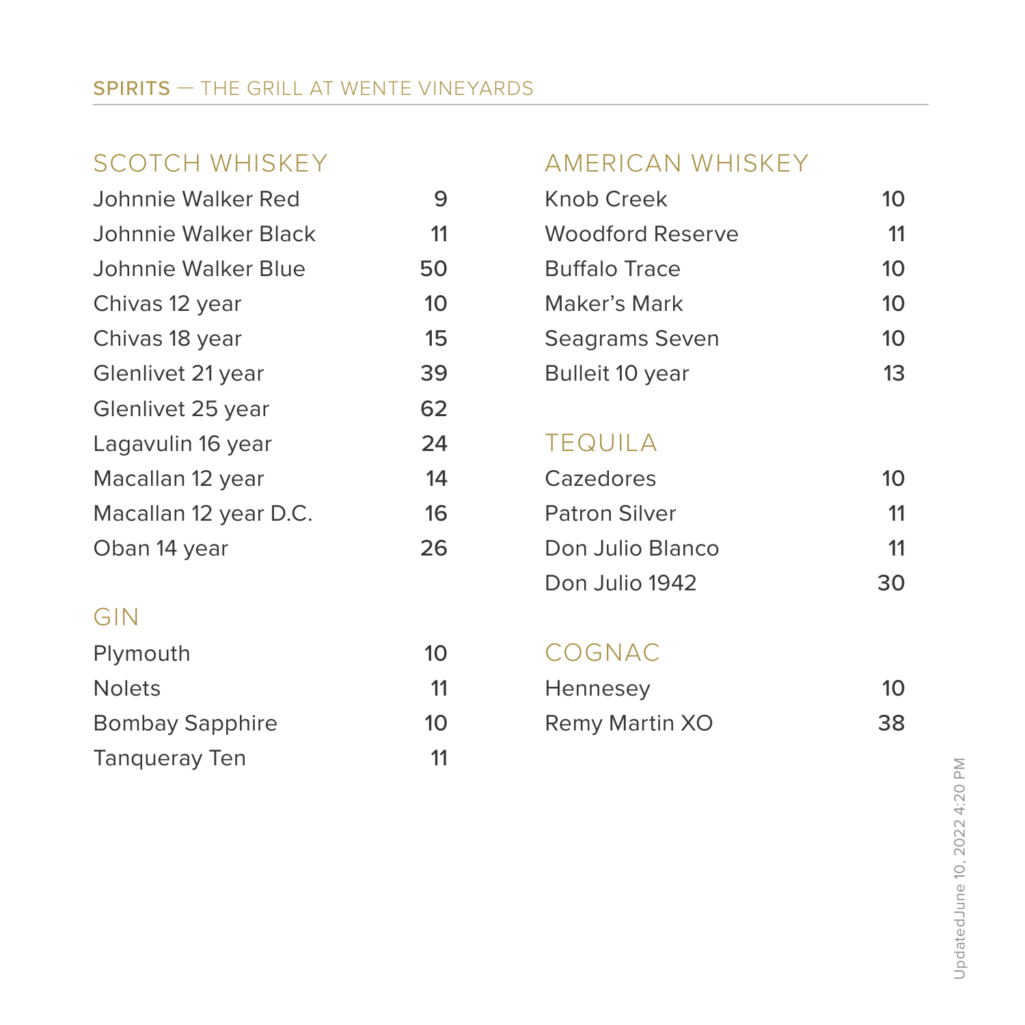#### SPIRITS — THE GRILL AT WENTE VINEYARDS

| Johnnie Walker Red    | 9  |
|-----------------------|----|
| Johnnie Walker Black  | 11 |
| Johnnie Walker Blue   | 50 |
| Chivas 12 year        | 10 |
| Chivas 18 year        | 15 |
| Glenlivet 21 year     | 39 |
| Glenlivet 25 year     | 62 |
| Lagavulin 16 year     | 24 |
| Macallan 12 year      | 14 |
| Macallan 12 year D.C. | 16 |
| Oban 14 vear          | 26 |

#### GIN

| Plymouth               | 10 |
|------------------------|----|
| <b>Nolets</b>          | 11 |
| <b>Bombay Sapphire</b> | 10 |
| Tangueray Ten          | 11 |

#### SCOTCH WHISKEY **AMERICAN WHISKEY**

| Johnnie Walker Red   | 9  | Knob Creek              | 10 |
|----------------------|----|-------------------------|----|
| Johnnie Walker Black | 11 | <b>Woodford Reserve</b> | 11 |
| Johnnie Walker Blue  | 50 | <b>Buffalo Trace</b>    | 10 |
| Chivas 12 year       | 10 | Maker's Mark            | 10 |
| Chivas 18 year       | 15 | Seagrams Seven          | 10 |
| Glenlivet 21 year    | 39 | Bulleit 10 year         | 13 |

#### **TEQUILA**

| Macallan 12 year      | 14 | Cazedores            | 10  |
|-----------------------|----|----------------------|-----|
| Macallan 12 year D.C. | 16 | <b>Patron Silver</b> | 11  |
| Oban 14 year          | 26 | Don Julio Blanco     | 11  |
|                       |    | Don Julio 1942       | 30. |

### COGNAC

| Nolets                 | Hennesey       |    |
|------------------------|----------------|----|
| <b>Bombay Sapphire</b> | Remy Martin XO | 38 |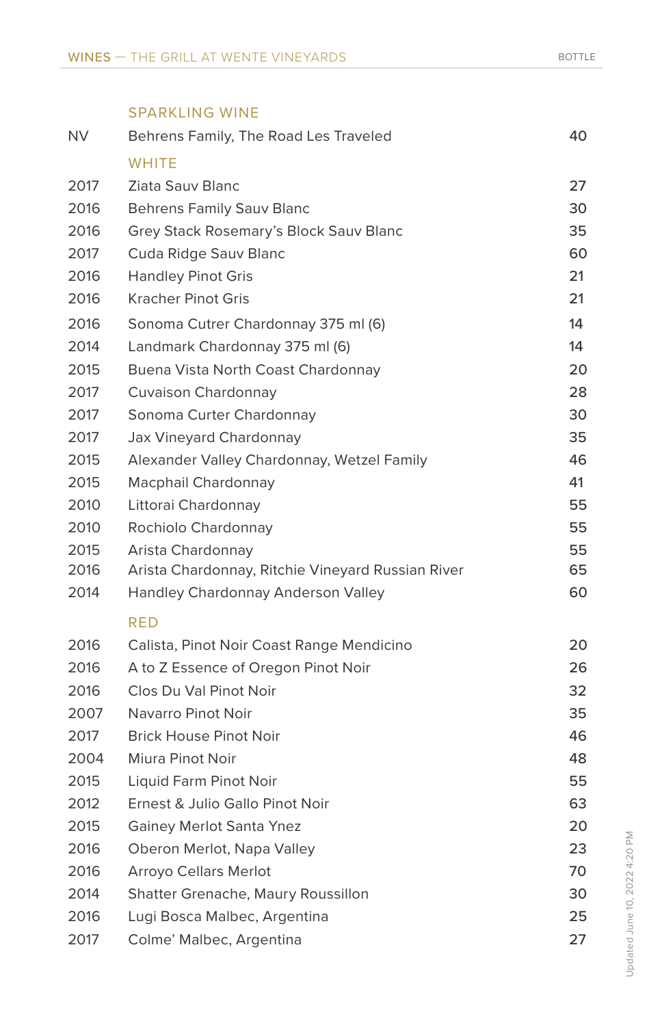|           | <b>SPARKLING WINE</b>                             |    |
|-----------|---------------------------------------------------|----|
| <b>NV</b> | Behrens Family, The Road Les Traveled             | 40 |
|           | <b>WHITE</b>                                      |    |
| 2017      | <b>Ziata Sauv Blanc</b>                           | 27 |
| 2016      | <b>Behrens Family Sauv Blanc</b>                  | 30 |
| 2016      | Grey Stack Rosemary's Block Sauv Blanc            | 35 |
| 2017      | Cuda Ridge Sauv Blanc                             | 60 |
| 2016      | <b>Handley Pinot Gris</b>                         | 21 |
| 2016      | <b>Kracher Pinot Gris</b>                         | 21 |
| 2016      | Sonoma Cutrer Chardonnay 375 ml (6)               | 14 |
| 2014      | Landmark Chardonnay 375 ml (6)                    | 14 |
| 2015      | Buena Vista North Coast Chardonnay                | 20 |
| 2017      | Cuvaison Chardonnay                               | 28 |
| 2017      | Sonoma Curter Chardonnay                          | 30 |
| 2017      | Jax Vineyard Chardonnay                           | 35 |
| 2015      | Alexander Valley Chardonnay, Wetzel Family        | 46 |
| 2015      | Macphail Chardonnay                               | 41 |
| 2010      | Littorai Chardonnay                               | 55 |
| 2010      | Rochiolo Chardonnay                               | 55 |
| 2015      | Arista Chardonnay                                 | 55 |
| 2016      | Arista Chardonnay, Ritchie Vineyard Russian River | 65 |
| 2014      | Handley Chardonnay Anderson Valley                | 60 |
|           | RED                                               |    |
| 2016      | Calista, Pinot Noir Coast Range Mendicino         | 20 |
| 2016      | A to Z Essence of Oregon Pinot Noir               | 26 |
| 2016      | Clos Du Val Pinot Noir                            | 32 |
| 2007      | Navarro Pinot Noir                                | 35 |
| 2017      | <b>Brick House Pinot Noir</b>                     | 46 |
| 2004      | Miura Pinot Noir                                  | 48 |
| 2015      | Liquid Farm Pinot Noir                            | 55 |
| 2012      | Ernest & Julio Gallo Pinot Noir                   | 63 |
| 2015      | <b>Gainey Merlot Santa Ynez</b>                   | 20 |
| 2016      | Oberon Merlot, Napa Valley                        | 23 |
| 2016      | <b>Arroyo Cellars Merlot</b>                      | 70 |
| 2014      | Shatter Grenache, Maury Roussillon                | 30 |
| 2016      | Lugi Bosca Malbec, Argentina                      | 25 |
| 2017      | Colme' Malbec, Argentina                          | 27 |